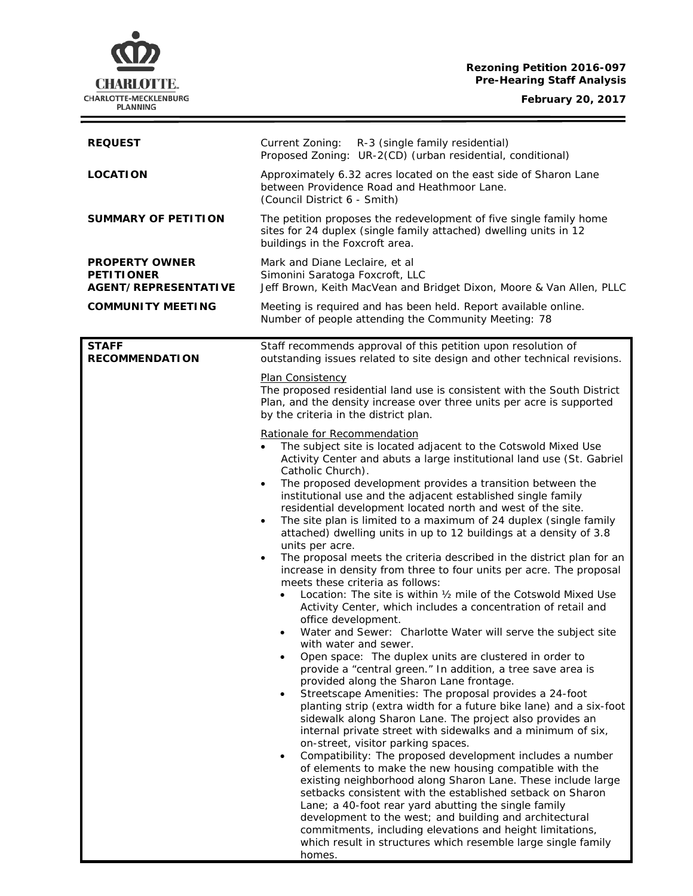# **Rezoning Petition 2016-097 Pre-Hearing Staff Analysis**

**CHARLOTTE.** CHARLOTTE-MECKLENBURG<br>PLANNING

 $\equiv$ 

| <b>REQUEST</b>                                                            | Current Zoning: R-3 (single family residential)<br>Proposed Zoning: UR-2(CD) (urban residential, conditional)                                                                                                                                                                                                                                                                                                                                                                                                                                                                                                                                                                                                                                                                                                                                                                                                                                                                                                                                                                                                                                                                                                                                                                                                                                                                                                                                                                                                                                                                                                                                                                                                                                                                                                                                                                                                                                                                                                                                                                                                                                                                                                                                                                                                                                                                                                       |
|---------------------------------------------------------------------------|---------------------------------------------------------------------------------------------------------------------------------------------------------------------------------------------------------------------------------------------------------------------------------------------------------------------------------------------------------------------------------------------------------------------------------------------------------------------------------------------------------------------------------------------------------------------------------------------------------------------------------------------------------------------------------------------------------------------------------------------------------------------------------------------------------------------------------------------------------------------------------------------------------------------------------------------------------------------------------------------------------------------------------------------------------------------------------------------------------------------------------------------------------------------------------------------------------------------------------------------------------------------------------------------------------------------------------------------------------------------------------------------------------------------------------------------------------------------------------------------------------------------------------------------------------------------------------------------------------------------------------------------------------------------------------------------------------------------------------------------------------------------------------------------------------------------------------------------------------------------------------------------------------------------------------------------------------------------------------------------------------------------------------------------------------------------------------------------------------------------------------------------------------------------------------------------------------------------------------------------------------------------------------------------------------------------------------------------------------------------------------------------------------------------|
| <b>LOCATION</b>                                                           | Approximately 6.32 acres located on the east side of Sharon Lane<br>between Providence Road and Heathmoor Lane.<br>(Council District 6 - Smith)                                                                                                                                                                                                                                                                                                                                                                                                                                                                                                                                                                                                                                                                                                                                                                                                                                                                                                                                                                                                                                                                                                                                                                                                                                                                                                                                                                                                                                                                                                                                                                                                                                                                                                                                                                                                                                                                                                                                                                                                                                                                                                                                                                                                                                                                     |
| <b>SUMMARY OF PETITION</b>                                                | The petition proposes the redevelopment of five single family home<br>sites for 24 duplex (single family attached) dwelling units in 12<br>buildings in the Foxcroft area.                                                                                                                                                                                                                                                                                                                                                                                                                                                                                                                                                                                                                                                                                                                                                                                                                                                                                                                                                                                                                                                                                                                                                                                                                                                                                                                                                                                                                                                                                                                                                                                                                                                                                                                                                                                                                                                                                                                                                                                                                                                                                                                                                                                                                                          |
| <b>PROPERTY OWNER</b><br><b>PETITIONER</b><br><b>AGENT/REPRESENTATIVE</b> | Mark and Diane Leclaire, et al<br>Simonini Saratoga Foxcroft, LLC<br>Jeff Brown, Keith MacVean and Bridget Dixon, Moore & Van Allen, PLLC                                                                                                                                                                                                                                                                                                                                                                                                                                                                                                                                                                                                                                                                                                                                                                                                                                                                                                                                                                                                                                                                                                                                                                                                                                                                                                                                                                                                                                                                                                                                                                                                                                                                                                                                                                                                                                                                                                                                                                                                                                                                                                                                                                                                                                                                           |
| <b>COMMUNITY MEETING</b>                                                  | Meeting is required and has been held. Report available online.<br>Number of people attending the Community Meeting: 78                                                                                                                                                                                                                                                                                                                                                                                                                                                                                                                                                                                                                                                                                                                                                                                                                                                                                                                                                                                                                                                                                                                                                                                                                                                                                                                                                                                                                                                                                                                                                                                                                                                                                                                                                                                                                                                                                                                                                                                                                                                                                                                                                                                                                                                                                             |
| <b>STAFF</b><br><b>RECOMMENDATION</b>                                     | Staff recommends approval of this petition upon resolution of<br>outstanding issues related to site design and other technical revisions.<br>Plan Consistency<br>The proposed residential land use is consistent with the South District<br>Plan, and the density increase over three units per acre is supported<br>by the criteria in the district plan.<br>Rationale for Recommendation<br>The subject site is located adjacent to the Cotswold Mixed Use<br>Activity Center and abuts a large institutional land use (St. Gabriel<br>Catholic Church).<br>The proposed development provides a transition between the<br>$\bullet$<br>institutional use and the adjacent established single family<br>residential development located north and west of the site.<br>The site plan is limited to a maximum of 24 duplex (single family<br>attached) dwelling units in up to 12 buildings at a density of 3.8<br>units per acre.<br>The proposal meets the criteria described in the district plan for an<br>$\bullet$<br>increase in density from three to four units per acre. The proposal<br>meets these criteria as follows:<br>Location: The site is within 1/2 mile of the Cotswold Mixed Use<br>$\bullet$<br>Activity Center, which includes a concentration of retail and<br>office development.<br>Water and Sewer: Charlotte Water will serve the subject site<br>٠<br>with water and sewer.<br>Open space: The duplex units are clustered in order to<br>provide a "central green." In addition, a tree save area is<br>provided along the Sharon Lane frontage.<br>Streetscape Amenities: The proposal provides a 24-foot<br>٠<br>planting strip (extra width for a future bike lane) and a six-foot<br>sidewalk along Sharon Lane. The project also provides an<br>internal private street with sidewalks and a minimum of six,<br>on-street, visitor parking spaces.<br>Compatibility: The proposed development includes a number<br>$\bullet$<br>of elements to make the new housing compatible with the<br>existing neighborhood along Sharon Lane. These include large<br>setbacks consistent with the established setback on Sharon<br>Lane; a 40-foot rear yard abutting the single family<br>development to the west; and building and architectural<br>commitments, including elevations and height limitations,<br>which result in structures which resemble large single family<br>homes. |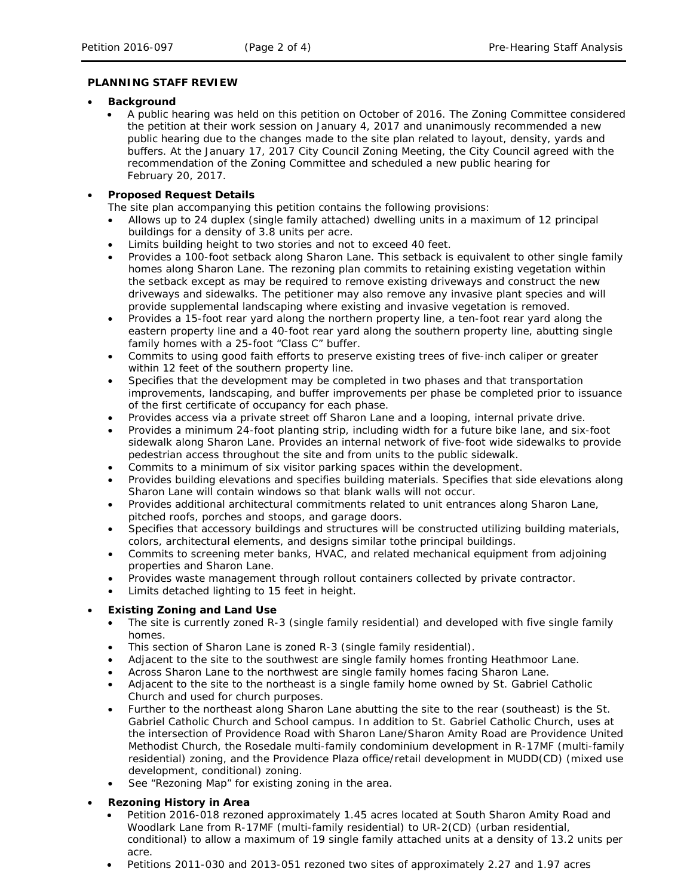#### **PLANNING STAFF REVIEW**

- **Background** 
	- A public hearing was held on this petition on October of 2016. The Zoning Committee considered the petition at their work session on January 4, 2017 and unanimously recommended a new public hearing due to the changes made to the site plan related to layout, density, yards and buffers. At the January 17, 2017 City Council Zoning Meeting, the City Council agreed with the recommendation of the Zoning Committee and scheduled a new public hearing for February 20, 2017.

# • **Proposed Request Details**

The site plan accompanying this petition contains the following provisions:

- Allows up to 24 duplex (single family attached) dwelling units in a maximum of 12 principal buildings for a density of 3.8 units per acre.
- Limits building height to two stories and not to exceed 40 feet.
- Provides a 100-foot setback along Sharon Lane. This setback is equivalent to other single family homes along Sharon Lane. The rezoning plan commits to retaining existing vegetation within the setback except as may be required to remove existing driveways and construct the new driveways and sidewalks. The petitioner may also remove any invasive plant species and will provide supplemental landscaping where existing and invasive vegetation is removed.
- Provides a 15-foot rear yard along the northern property line, a ten-foot rear yard along the eastern property line and a 40-foot rear yard along the southern property line, abutting single family homes with a 25-foot "Class C" buffer.
- Commits to using good faith efforts to preserve existing trees of five-inch caliper or greater within 12 feet of the southern property line.
- Specifies that the development may be completed in two phases and that transportation improvements, landscaping, and buffer improvements per phase be completed prior to issuance of the first certificate of occupancy for each phase.
- Provides access via a private street off Sharon Lane and a looping, internal private drive.
- Provides a minimum 24-foot planting strip, including width for a future bike lane, and six-foot sidewalk along Sharon Lane. Provides an internal network of five-foot wide sidewalks to provide pedestrian access throughout the site and from units to the public sidewalk.
- Commits to a minimum of six visitor parking spaces within the development.
- Provides building elevations and specifies building materials. Specifies that side elevations along Sharon Lane will contain windows so that blank walls will not occur.
- Provides additional architectural commitments related to unit entrances along Sharon Lane, pitched roofs, porches and stoops, and garage doors.
- Specifies that accessory buildings and structures will be constructed utilizing building materials, colors, architectural elements, and designs similar tothe principal buildings.
- Commits to screening meter banks, HVAC, and related mechanical equipment from adjoining properties and Sharon Lane.
- Provides waste management through rollout containers collected by private contractor.
- Limits detached lighting to 15 feet in height.

### • **Existing Zoning and Land Use**

- The site is currently zoned R-3 (single family residential) and developed with five single family homes.
- This section of Sharon Lane is zoned R-3 (single family residential).
- Adjacent to the site to the southwest are single family homes fronting Heathmoor Lane.
- Across Sharon Lane to the northwest are single family homes facing Sharon Lane.
- Adjacent to the site to the northeast is a single family home owned by St. Gabriel Catholic Church and used for church purposes.
- Further to the northeast along Sharon Lane abutting the site to the rear (southeast) is the St. Gabriel Catholic Church and School campus. In addition to St. Gabriel Catholic Church, uses at the intersection of Providence Road with Sharon Lane/Sharon Amity Road are Providence United Methodist Church, the Rosedale multi-family condominium development in R-17MF (multi-family residential) zoning, and the Providence Plaza office/retail development in MUDD(CD) (mixed use development, conditional) zoning.
- See "Rezoning Map" for existing zoning in the area.

### • **Rezoning History in Area**

- Petition 2016-018 rezoned approximately 1.45 acres located at South Sharon Amity Road and Woodlark Lane from R-17MF (multi-family residential) to UR-2(CD) (urban residential, conditional) to allow a maximum of 19 single family attached units at a density of 13.2 units per acre.
- Petitions 2011-030 and 2013-051 rezoned two sites of approximately 2.27 and 1.97 acres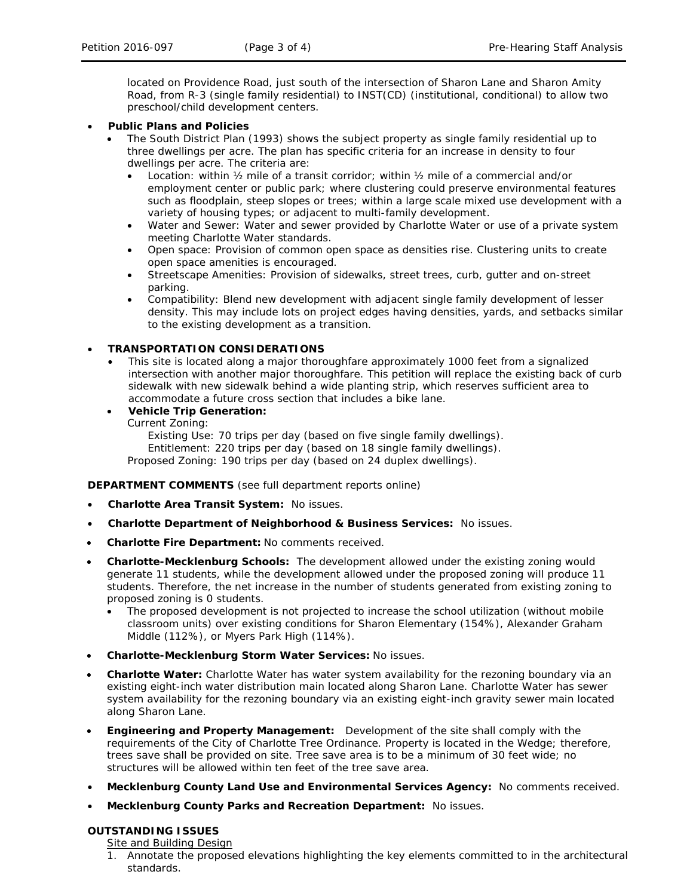located on Providence Road, just south of the intersection of Sharon Lane and Sharon Amity Road, from R-3 (single family residential) to INST(CD) (institutional, conditional) to allow two preschool/child development centers.

- **Public Plans and Policies**
	- The *South District Plan (*1993*)* shows the subject property as single family residential up to three dwellings per acre. The plan has specific criteria for an increase in density to four dwellings per acre. The criteria are:
		- Location: within ½ mile of a transit corridor; within ½ mile of a commercial and/or employment center or public park; where clustering could preserve environmental features such as floodplain, steep slopes or trees; within a large scale mixed use development with a variety of housing types; or adjacent to multi-family development.
		- Water and Sewer: Water and sewer provided by Charlotte Water or use of a private system meeting Charlotte Water standards.
		- Open space: Provision of common open space as densities rise. Clustering units to create open space amenities is encouraged.
		- Streetscape Amenities: Provision of sidewalks, street trees, curb, gutter and on-street parking.
		- Compatibility: Blend new development with adjacent single family development of lesser density. This may include lots on project edges having densities, yards, and setbacks similar to the existing development as a transition.

### • **TRANSPORTATION CONSIDERATIONS**

- This site is located along a major thoroughfare approximately 1000 feet from a signalized intersection with another major thoroughfare. This petition will replace the existing back of curb sidewalk with new sidewalk behind a wide planting strip, which reserves sufficient area to accommodate a future cross section that includes a bike lane.
- **Vehicle Trip Generation:**
	- Current Zoning:

Existing Use: 70 trips per day (based on five single family dwellings). Entitlement: 220 trips per day (based on 18 single family dwellings). Proposed Zoning: 190 trips per day (based on 24 duplex dwellings).

**DEPARTMENT COMMENTS** (see full department reports online)

- **Charlotte Area Transit System:** No issues.
- **Charlotte Department of Neighborhood & Business Services:** No issues.
- **Charlotte Fire Department:** No comments received.
- **Charlotte-Mecklenburg Schools:** The development allowed under the existing zoning would generate 11 students, while the development allowed under the proposed zoning will produce 11 students. Therefore, the net increase in the number of students generated from existing zoning to proposed zoning is 0 students.
	- The proposed development is not projected to increase the school utilization (without mobile classroom units) over existing conditions for Sharon Elementary (154%), Alexander Graham Middle (112%), or Myers Park High (114%).
- **Charlotte-Mecklenburg Storm Water Services:** No issues.
- **Charlotte Water:** Charlotte Water has water system availability for the rezoning boundary via an existing eight-inch water distribution main located along Sharon Lane. Charlotte Water has sewer system availability for the rezoning boundary via an existing eight-inch gravity sewer main located along Sharon Lane.
- **Engineering and Property Management:** Development of the site shall comply with the requirements of the City of Charlotte Tree Ordinance. Property is located in the Wedge; therefore, trees save shall be provided on site. Tree save area is to be a minimum of 30 feet wide; no structures will be allowed within ten feet of the tree save area.
- **Mecklenburg County Land Use and Environmental Services Agency:** No comments received.
- **Mecklenburg County Parks and Recreation Department:** No issues.

### **OUTSTANDING ISSUES**

Site and Building Design

1. Annotate the proposed elevations highlighting the key elements committed to in the architectural standards.